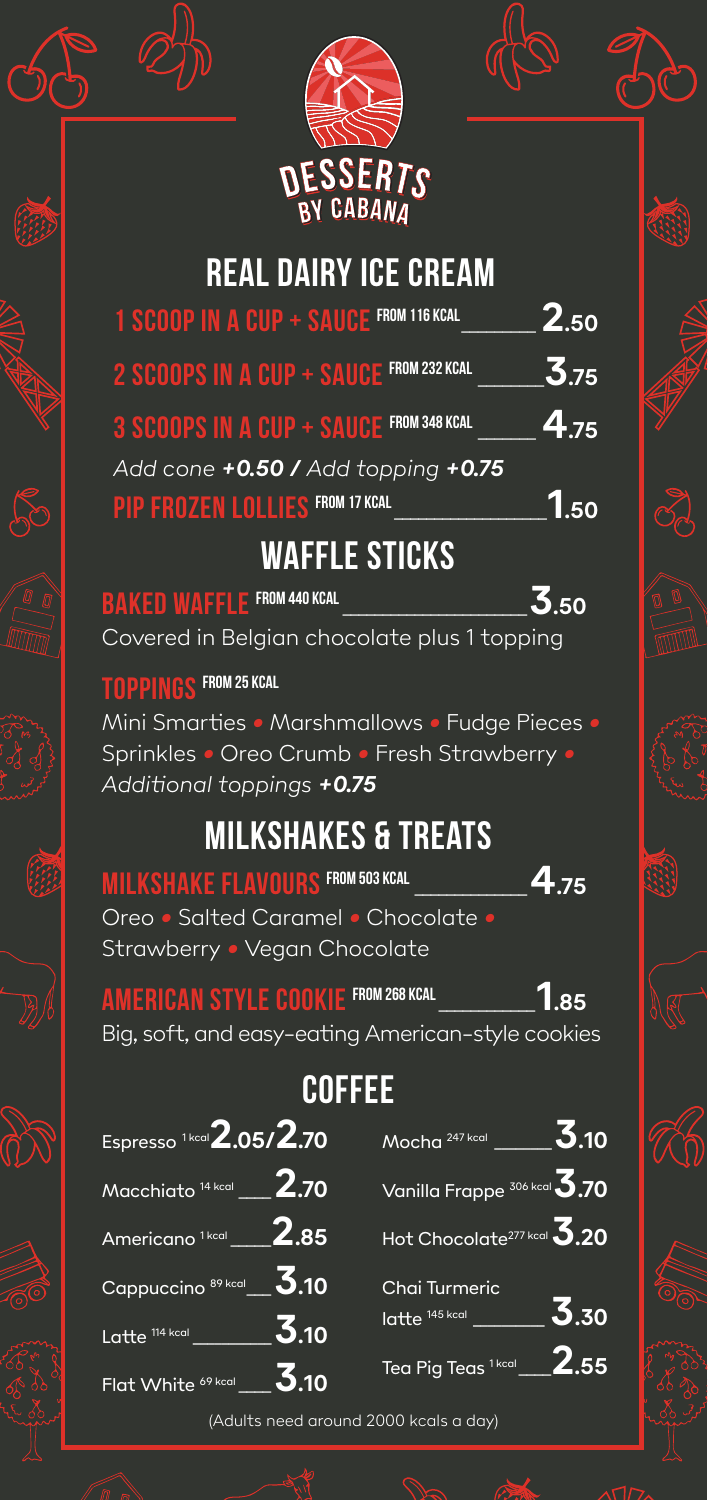

| <b>REAL DAIRY ICE CREAM</b> |  |  |
|-----------------------------|--|--|
|                             |  |  |

| 1 SCOOP IN A CUP + SAUCE FROM 116 KCAL  | 2.50 |
|-----------------------------------------|------|
| 2 SCOOPS IN A CUP + SAUCE FROM 232 KCAL | 3.75 |
| 3 SCOOPS IN A CUP + SAUCE FROM 348 KCAL | 4.75 |
| Add cone +0.50 / Add topping +0.75      |      |
| <b>PIP FROZEN LOLLIES FROM 17 KCAL</b>  |      |

#### **Waffle Sticks**

| <b>BAKED WAFFLE FROM 440 KCAL</b>           | 3.50 |
|---------------------------------------------|------|
| Covered in Belgian chocolate plus 1 topping |      |

#### **Toppings From 25 kcal**

偏

Mini Smarties *•* Marshmallows *•* Fudge Pieces *•* Sprinkles *•* Oreo Crumb *•* Fresh Strawberry *• Additional toppings +0.75*

### **Milkshakes & Treats**

| <b>MILKSHAKE FLAVOURS FROM 503 KCAL</b> | 4.75 |
|-----------------------------------------|------|
| Oreo • Salted Caramel • Chocolate •     |      |
| Strawberry • Vegan Chocolate'           |      |

**American style cookie From 268 kcal**\_\_\_\_\_\_\_\_\_\_\_\_**1.85** Big, soft, and easy-eating American-style cookies

## **Coffee**

| Espresso <sup>1kcal</sup> 2.05/2.70             | Mocha $247 \text{ kcal}$ ________3.10  |
|-------------------------------------------------|----------------------------------------|
| $M$ acchiato 14 kcal __ 2.70                    | Vanilla Frappe 306 kcal 3.70           |
| Americano <sup>1kcal</sup> 2.85                 | Hot Chocolate <sup>277 kcal</sup> 3.20 |
| Cappuccino 89 kcal $\underline{\mathbf{3}}$ .10 | Chai Turmeric                          |
|                                                 | 3.30<br>$I$ atte $145$ kcal            |
| Flat White $\frac{69 \text{ kcal}}{2.10}$       | Tea Pig Teas $1 \text{ker}$ 2.55       |

(Adults need around 2000 kcals a day)